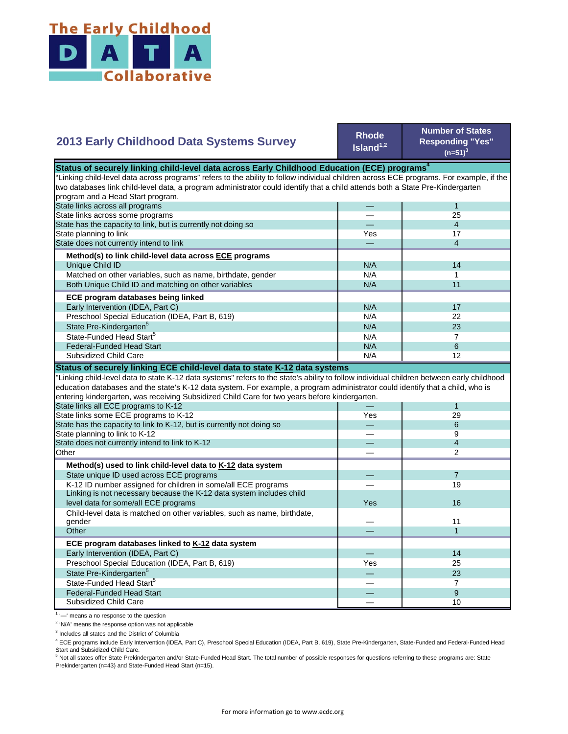

## **2013 Early Childhood Data Systems Survey**

**Rhode Island1,2**

**Number of States Responding "Yes"**   $(n=51)^3$ 

| Status of securely linking child-level data across Early Childhood Education (ECE) programs <sup>4</sup>                                  |     |                |
|-------------------------------------------------------------------------------------------------------------------------------------------|-----|----------------|
| "Linking child-level data across programs" refers to the ability to follow individual children across ECE programs. For example, if the   |     |                |
| two databases link child-level data, a program administrator could identify that a child attends both a State Pre-Kindergarten            |     |                |
| program and a Head Start program.                                                                                                         |     |                |
| State links across all programs                                                                                                           |     | 1              |
| State links across some programs                                                                                                          |     | 25             |
| State has the capacity to link, but is currently not doing so                                                                             |     | $\overline{4}$ |
| State planning to link                                                                                                                    | Yes | 17             |
| State does not currently intend to link                                                                                                   |     | $\overline{4}$ |
| Method(s) to link child-level data across ECE programs                                                                                    |     |                |
| Unique Child ID                                                                                                                           | N/A | 14             |
| Matched on other variables, such as name, birthdate, gender                                                                               | N/A | $\mathbf 1$    |
| Both Unique Child ID and matching on other variables                                                                                      | N/A | 11             |
| ECE program databases being linked                                                                                                        |     |                |
| Early Intervention (IDEA, Part C)                                                                                                         | N/A | 17             |
| Preschool Special Education (IDEA, Part B, 619)                                                                                           | N/A | 22             |
| State Pre-Kindergarten <sup>5</sup>                                                                                                       | N/A | 23             |
| State-Funded Head Start <sup>5</sup>                                                                                                      | N/A | $\overline{7}$ |
| <b>Federal-Funded Head Start</b>                                                                                                          | N/A | 6              |
| Subsidized Child Care                                                                                                                     | N/A | 12             |
| Status of securely linking ECE child-level data to state K-12 data systems                                                                |     |                |
| "Linking child-level data to state K-12 data systems" refers to the state's ability to follow individual children between early childhood |     |                |
| education databases and the state's K-12 data system. For example, a program administrator could identify that a child, who is            |     |                |
| entering kindergarten, was receiving Subsidized Child Care for two years before kindergarten.                                             |     |                |
| State links all ECE programs to K-12                                                                                                      |     | $\mathbf{1}$   |
| State links some ECE programs to K-12                                                                                                     | Yes | 29             |
| State has the capacity to link to K-12, but is currently not doing so                                                                     |     | 6              |
| State planning to link to K-12                                                                                                            |     | 9              |
| State does not currently intend to link to K-12                                                                                           |     | $\overline{4}$ |
| Other                                                                                                                                     |     | 2              |
| Method(s) used to link child-level data to K-12 data system                                                                               |     |                |
| State unique ID used across ECE programs                                                                                                  |     | $\overline{7}$ |
| K-12 ID number assigned for children in some/all ECE programs                                                                             |     | 19             |
| Linking is not necessary because the K-12 data system includes child                                                                      |     |                |
| level data for some/all ECE programs                                                                                                      | Yes | 16             |
| Child-level data is matched on other variables, such as name, birthdate,                                                                  |     |                |
| gender                                                                                                                                    |     | 11             |
| Other                                                                                                                                     |     | $\mathbf{1}$   |
| ECE program databases linked to K-12 data system                                                                                          |     |                |
| Early Intervention (IDEA, Part C)                                                                                                         |     | 14             |
| Preschool Special Education (IDEA, Part B, 619)                                                                                           | Yes | 25             |
| State Pre-Kindergarten <sup>5</sup>                                                                                                       |     | 23             |
| State-Funded Head Start <sup>5</sup>                                                                                                      |     | $\overline{7}$ |
| <b>Federal-Funded Head Start</b>                                                                                                          |     | 9              |
| Subsidized Child Care                                                                                                                     |     | 10             |

<sup>1</sup> '-' means a no response to the question

<sup>2</sup> 'N/A' means the response option was not applicable

<sup>3</sup> Includes all states and the District of Columbia

<sup>4</sup> ECE programs include Early Intervention (IDEA, Part C), Preschool Special Education (IDEA, Part B, 619), State Pre-Kindergarten, State-Funded and Federal-Funded Head

Start and Subsidized Child Care.<br><sup>5</sup> Not all states offer State Prekindergarten and/or State-Funded Head Start. The total number of possible responses for questions referring to these programs are: State Prekindergarten (n=43) and State-Funded Head Start (n=15).